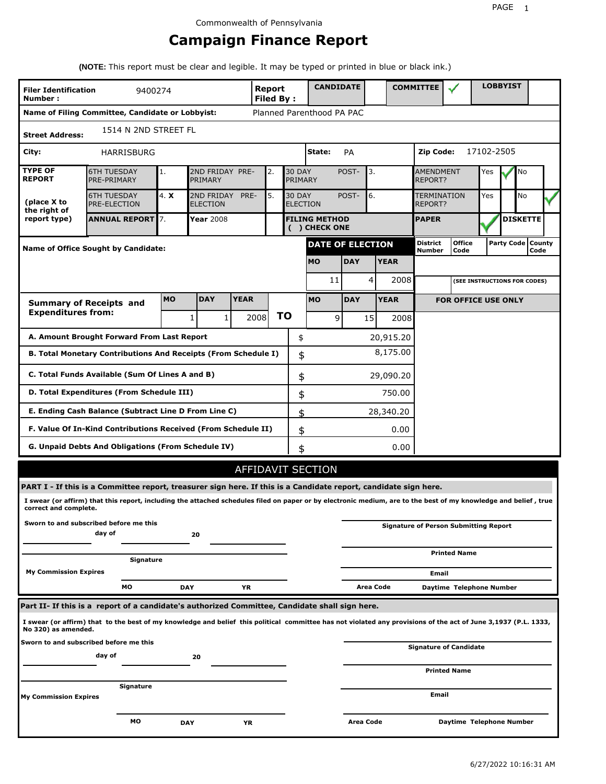## **Campaign Finance Report**

**(NOTE:** This report must be clear and legible. It may be typed or printed in blue or black ink.)

| <b>Filer Identification</b><br>Number: | 9400274                                                                                                                                                         |            |                               |             | Report<br><b>Filed By:</b> |    |                                  | <b>CANDIDATE</b>                      |            |           |             | <b>COMMITTEE</b>            |                                              |            | <b>LOBBYIST</b> |                             |  |
|----------------------------------------|-----------------------------------------------------------------------------------------------------------------------------------------------------------------|------------|-------------------------------|-------------|----------------------------|----|----------------------------------|---------------------------------------|------------|-----------|-------------|-----------------------------|----------------------------------------------|------------|-----------------|-----------------------------|--|
|                                        | Name of Filing Committee, Candidate or Lobbyist:                                                                                                                |            |                               |             |                            |    |                                  | Planned Parenthood PA PAC             |            |           |             |                             |                                              |            |                 |                             |  |
| <b>Street Address:</b>                 | 1514 N 2ND STREET FL                                                                                                                                            |            |                               |             |                            |    |                                  |                                       |            |           |             |                             |                                              |            |                 |                             |  |
| City:                                  | <b>HARRISBURG</b>                                                                                                                                               |            |                               |             |                            |    |                                  | State:                                | PA         |           |             | Zip Code:                   |                                              | 17102-2505 |                 |                             |  |
| <b>TYPE OF</b><br><b>REPORT</b>        | <b>6TH TUESDAY</b><br>PRE-PRIMARY                                                                                                                               | 1.         | 2ND FRIDAY PRE-<br>PRIMARY    |             | 2.                         |    | <b>30 DAY</b><br>PRIMARY         |                                       | POST-      | 3.        |             | <b>AMENDMENT</b><br>REPORT? |                                              | Yes        |                 | No                          |  |
| (place X to<br>the right of            | <b>6TH TUESDAY</b><br><b>PRE-ELECTION</b>                                                                                                                       | 4. X       | 2ND FRIDAY<br><b>ELECTION</b> | PRE-        | 5.                         |    | <b>30 DAY</b><br><b>ELECTION</b> |                                       | POST-      | 6.        |             | TERMINATION<br>REPORT?      |                                              | Yes        |                 | <b>No</b>                   |  |
| report type)                           | <b>ANNUAL REPORT 7.</b>                                                                                                                                         |            | <b>Year 2008</b>              |             |                            |    |                                  | <b>FILING METHOD</b><br>( ) CHECK ONE |            |           |             | <b>PAPER</b>                |                                              |            |                 | <b>DISKETTE</b>             |  |
|                                        | <b>Name of Office Sought by Candidate:</b>                                                                                                                      |            |                               |             |                            |    |                                  | <b>DATE OF ELECTION</b>               |            |           |             | District<br>Number          | <b>Office</b><br>Code                        |            |                 | Party Code   County<br>Code |  |
|                                        |                                                                                                                                                                 |            |                               |             |                            |    |                                  | <b>MO</b>                             | <b>DAY</b> |           | <b>YEAR</b> |                             |                                              |            |                 |                             |  |
|                                        |                                                                                                                                                                 |            |                               |             |                            |    |                                  | 11                                    |            | 4         | 2008        |                             | (SEE INSTRUCTIONS FOR CODES)                 |            |                 |                             |  |
|                                        | <b>Summary of Receipts and</b>                                                                                                                                  | <b>MO</b>  | <b>DAY</b>                    | <b>YEAR</b> |                            |    |                                  | <b>MO</b>                             | <b>DAY</b> |           | <b>YEAR</b> |                             | <b>FOR OFFICE USE ONLY</b>                   |            |                 |                             |  |
| <b>Expenditures from:</b>              |                                                                                                                                                                 |            | 1<br>1                        |             | 2008                       | ΤO |                                  | 9                                     |            | 15        | 2008        |                             |                                              |            |                 |                             |  |
|                                        | A. Amount Brought Forward From Last Report                                                                                                                      |            |                               |             |                            |    | \$                               |                                       |            |           | 20,915.20   |                             |                                              |            |                 |                             |  |
|                                        | B. Total Monetary Contributions And Receipts (From Schedule I)                                                                                                  |            |                               |             |                            |    | \$                               |                                       |            |           | 8,175.00    |                             |                                              |            |                 |                             |  |
|                                        | C. Total Funds Available (Sum Of Lines A and B)                                                                                                                 |            |                               |             |                            |    | \$                               |                                       |            |           | 29,090.20   |                             |                                              |            |                 |                             |  |
|                                        | D. Total Expenditures (From Schedule III)                                                                                                                       |            |                               |             |                            |    | \$                               |                                       |            |           | 750.00      |                             |                                              |            |                 |                             |  |
|                                        | E. Ending Cash Balance (Subtract Line D From Line C)                                                                                                            |            |                               |             |                            |    | \$                               |                                       |            |           | 28,340.20   |                             |                                              |            |                 |                             |  |
|                                        | F. Value Of In-Kind Contributions Received (From Schedule II)                                                                                                   |            |                               |             |                            |    | \$                               |                                       |            |           | 0.00        |                             |                                              |            |                 |                             |  |
|                                        | G. Unpaid Debts And Obligations (From Schedule IV)                                                                                                              |            |                               |             |                            |    | \$                               |                                       |            |           | 0.00        |                             |                                              |            |                 |                             |  |
|                                        |                                                                                                                                                                 |            |                               |             |                            |    |                                  | AFFIDAVIT SECTION                     |            |           |             |                             |                                              |            |                 |                             |  |
|                                        | PART I - If this is a Committee report, treasurer sign here. If this is a Candidate report, candidate sign here.                                                |            |                               |             |                            |    |                                  |                                       |            |           |             |                             |                                              |            |                 |                             |  |
| correct and complete.                  | I swear (or affirm) that this report, including the attached schedules filed on paper or by electronic medium, are to the best of my knowledge and belief, true |            |                               |             |                            |    |                                  |                                       |            |           |             |                             |                                              |            |                 |                             |  |
|                                        | Sworn to and subscribed before me this<br>day of                                                                                                                |            | 20                            |             |                            |    |                                  |                                       |            |           |             |                             | <b>Signature of Person Submitting Report</b> |            |                 |                             |  |
|                                        | Signature                                                                                                                                                       |            |                               |             |                            |    |                                  |                                       |            |           |             |                             | <b>Printed Name</b>                          |            |                 |                             |  |
| <b>My Commission Expires</b>           |                                                                                                                                                                 |            |                               |             |                            |    |                                  |                                       |            |           |             | Email                       |                                              |            |                 |                             |  |
|                                        | МO                                                                                                                                                              | <b>DAY</b> |                               | YR          |                            |    |                                  |                                       |            | Area Code |             |                             | Daytime Telephone Number                     |            |                 |                             |  |
|                                        | Part II- If this is a report of a candidate's authorized Committee, Candidate shall sign here.                                                                  |            |                               |             |                            |    |                                  |                                       |            |           |             |                             |                                              |            |                 |                             |  |
| No 320) as amended.                    | I swear (or affirm) that to the best of my knowledge and belief this political committee has not violated any provisions of the act of June 3,1937 (P.L. 1333,  |            |                               |             |                            |    |                                  |                                       |            |           |             |                             |                                              |            |                 |                             |  |
|                                        | Sworn to and subscribed before me this<br>day of                                                                                                                |            | 20                            |             |                            |    |                                  |                                       |            |           |             |                             | <b>Signature of Candidate</b>                |            |                 |                             |  |
|                                        |                                                                                                                                                                 |            |                               |             |                            |    |                                  |                                       |            |           |             |                             | <b>Printed Name</b>                          |            |                 |                             |  |
| <b>My Commission Expires</b>           | Signature                                                                                                                                                       |            |                               |             |                            |    |                                  |                                       |            |           |             | Email                       |                                              |            |                 |                             |  |
|                                        | мо                                                                                                                                                              | <b>DAY</b> |                               | ΥR          |                            |    |                                  |                                       | Area Code  |           |             |                             | Daytime Telephone Number                     |            |                 |                             |  |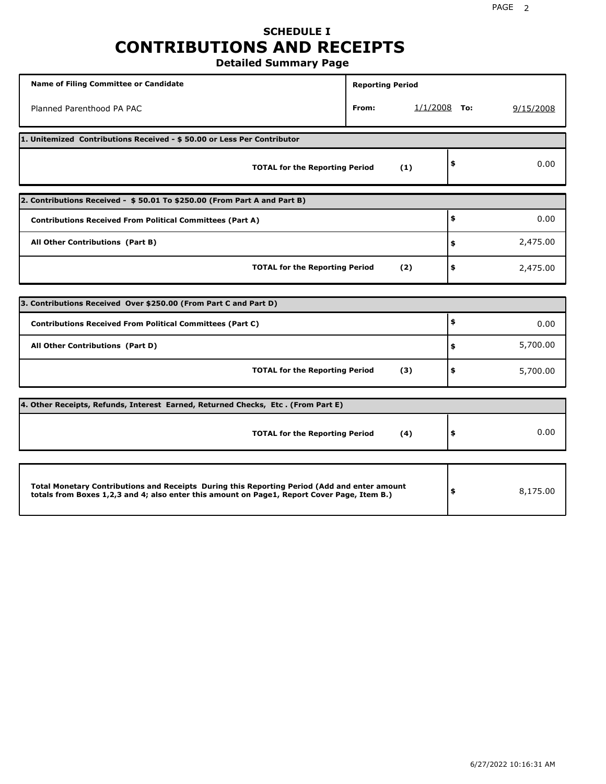### **SCHEDULE I CONTRIBUTIONS AND RECEIPTS Detailed Summary Page**

**Name of Filing Committee or Candidate Reporting Period Reporting Period** Planned Parenthood PA PAC **From:** 1/1/2008 **To:** 9/15/2008 **1. Unitemized Contributions Received - \$ 50.00 or Less Per Contributor TOTAL for the Reporting Period (1) \$** 0.00 **2. Contributions Received - \$ 50.01 To \$250.00 (From Part A and Part B) TOTAL for the Reporting Period (2) Contributions Received From Political Committees (Part A) All Other Contributions (Part B) \$ \$ \$** 0.00 2,475.00 2,475.00 **3. Contributions Received Over \$250.00 (From Part C and Part D) TOTAL for the Reporting Period (3) Contributions Received From Political Committees (Part C) All Other Contributions (Part D) \$ \$ \$** 0.00 5,700.00 5,700.00 **4. Other Receipts, Refunds, Interest Earned, Returned Checks, Etc . (From Part E) TOTAL for the Reporting Period (4) \$** 0.00 **Total Monetary Contributions and Receipts During this Reporting Period (Add and enter amount totals from Boxes 1,2,3 and 4; also enter this amount on Page1, Report Cover Page, Item B.) \$** 8,175.00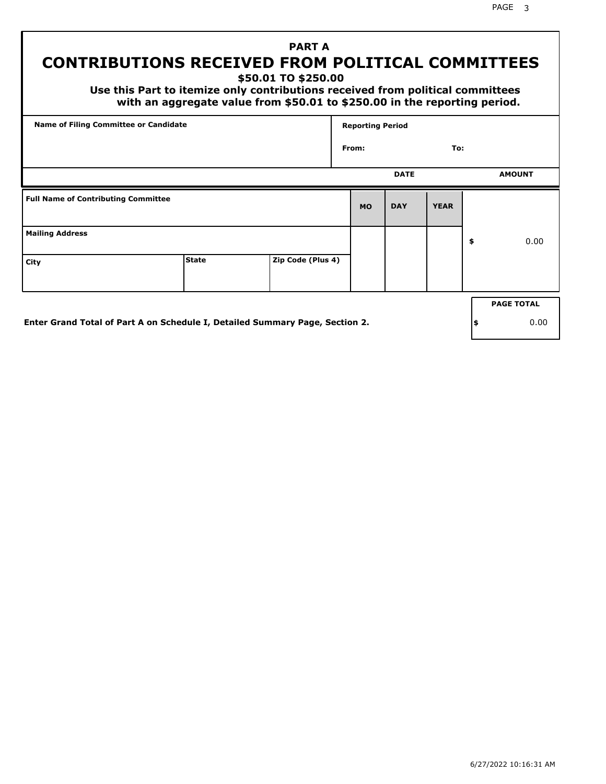PAGE 3

## **PART A CONTRIBUTIONS RECEIVED FROM POLITICAL COMMITTEES**

**\$50.01 TO \$250.00**

 **Use this Part to itemize only contributions received from political committees with an aggregate value from \$50.01 to \$250.00 in the reporting period.**

| Name of Filing Committee or Candidate      |  |  | <b>Reporting Period</b> |             |             |    |                   |  |
|--------------------------------------------|--|--|-------------------------|-------------|-------------|----|-------------------|--|
|                                            |  |  | To:<br>From:            |             |             |    |                   |  |
|                                            |  |  |                         | <b>DATE</b> |             |    | <b>AMOUNT</b>     |  |
| <b>Full Name of Contributing Committee</b> |  |  | <b>MO</b>               | <b>DAY</b>  | <b>YEAR</b> |    |                   |  |
| <b>Mailing Address</b>                     |  |  |                         |             |             | \$ | 0.00              |  |
| <b>State</b><br>Zip Code (Plus 4)<br>City  |  |  |                         |             |             |    |                   |  |
|                                            |  |  |                         |             |             |    | <b>PAGE TOTAL</b> |  |
|                                            |  |  |                         |             |             |    |                   |  |

**Enter Grand Total of Part A on Schedule I, Detailed Summary Page, Section 2.**

**\$** 0.00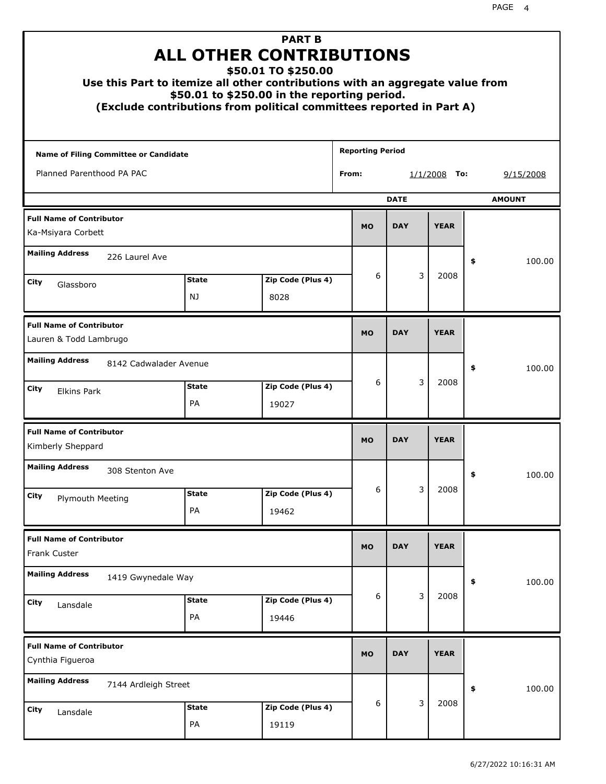|                                                           |                        | <b>PART B</b><br><b>ALL OTHER CONTRIBUTIONS</b><br>\$50.01 TO \$250.00<br>Use this Part to itemize all other contributions with an aggregate value from<br>\$50.01 to \$250.00 in the reporting period.<br>(Exclude contributions from political committees reported in Part A) |                         |                              |               |    |        |
|-----------------------------------------------------------|------------------------|---------------------------------------------------------------------------------------------------------------------------------------------------------------------------------------------------------------------------------------------------------------------------------|-------------------------|------------------------------|---------------|----|--------|
| Name of Filing Committee or Candidate                     |                        |                                                                                                                                                                                                                                                                                 | <b>Reporting Period</b> |                              |               |    |        |
| Planned Parenthood PA PAC                                 |                        |                                                                                                                                                                                                                                                                                 | From:                   | 9/15/2008<br>1/1/2008<br>To: |               |    |        |
|                                                           |                        | <b>DATE</b>                                                                                                                                                                                                                                                                     |                         |                              | <b>AMOUNT</b> |    |        |
| <b>Full Name of Contributor</b><br>Ka-Msiyara Corbett     |                        |                                                                                                                                                                                                                                                                                 |                         |                              |               |    |        |
| <b>Mailing Address</b>                                    | 226 Laurel Ave         |                                                                                                                                                                                                                                                                                 |                         |                              |               | \$ | 100.00 |
| City                                                      | <b>State</b>           | Zip Code (Plus 4)                                                                                                                                                                                                                                                               | 6                       | 3                            | 2008          |    |        |
| Glassboro                                                 | NJ                     | 8028                                                                                                                                                                                                                                                                            |                         |                              |               |    |        |
| <b>Full Name of Contributor</b><br>Lauren & Todd Lambrugo |                        |                                                                                                                                                                                                                                                                                 |                         |                              |               |    |        |
| <b>Mailing Address</b>                                    | 8142 Cadwalader Avenue |                                                                                                                                                                                                                                                                                 |                         |                              |               | \$ | 100.00 |
| City<br><b>Elkins Park</b>                                | <b>State</b><br>PA     | Zip Code (Plus 4)<br>19027                                                                                                                                                                                                                                                      | 6                       | 3                            | 2008          |    |        |
| <b>Full Name of Contributor</b><br>Kimberly Sheppard      |                        |                                                                                                                                                                                                                                                                                 | <b>MO</b>               | <b>DAY</b>                   | <b>YEAR</b>   |    |        |
| <b>Mailing Address</b>                                    | 308 Stenton Ave        |                                                                                                                                                                                                                                                                                 |                         |                              |               | ÷, | 100.00 |
| <b>City</b><br><b>Plymouth Meeting</b>                    | <b>State</b>           | Zip Code (Plus 4)                                                                                                                                                                                                                                                               | 6                       | 3                            | 2008          |    |        |
|                                                           | PA                     | 19462                                                                                                                                                                                                                                                                           |                         |                              |               |    |        |
| <b>Full Name of Contributor</b><br>Frank Custer           |                        |                                                                                                                                                                                                                                                                                 | <b>MO</b>               | <b>DAY</b>                   | <b>YEAR</b>   |    |        |
| <b>Mailing Address</b>                                    | 1419 Gwynedale Way     |                                                                                                                                                                                                                                                                                 |                         |                              |               | \$ | 100.00 |
| City<br>Lansdale                                          | <b>State</b><br>PA     | Zip Code (Plus 4)<br>19446                                                                                                                                                                                                                                                      | 6                       | 3                            | 2008          |    |        |
| <b>Full Name of Contributor</b><br>Cynthia Figueroa       |                        |                                                                                                                                                                                                                                                                                 | <b>MO</b>               | <b>DAY</b>                   | <b>YEAR</b>   |    |        |
| <b>Mailing Address</b>                                    | 7144 Ardleigh Street   |                                                                                                                                                                                                                                                                                 |                         |                              |               | \$ | 100.00 |
| City<br>Lansdale                                          | <b>State</b><br>PA     | Zip Code (Plus 4)<br>19119                                                                                                                                                                                                                                                      | 6                       | 3                            | 2008          |    |        |
|                                                           |                        |                                                                                                                                                                                                                                                                                 |                         |                              |               |    |        |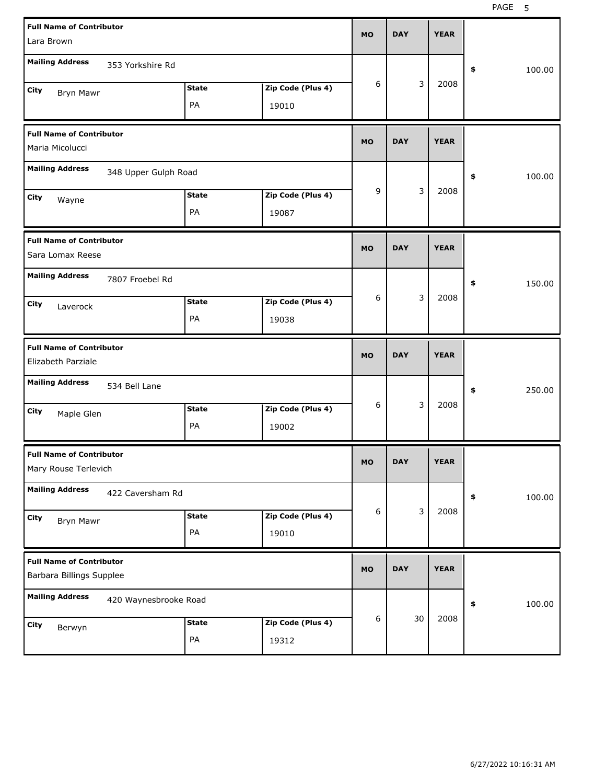| <b>Full Name of Contributor</b>                             |                       |              |                   | <b>MO</b> | <b>DAY</b> | <b>YEAR</b> |              |  |
|-------------------------------------------------------------|-----------------------|--------------|-------------------|-----------|------------|-------------|--------------|--|
| Lara Brown                                                  |                       |              |                   |           |            |             |              |  |
| <b>Mailing Address</b>                                      | 353 Yorkshire Rd      |              |                   |           |            |             | \$<br>100.00 |  |
| City<br>Bryn Mawr                                           |                       | <b>State</b> | Zip Code (Plus 4) | 6         | 3          | 2008        |              |  |
|                                                             |                       | PA           | 19010             |           |            |             |              |  |
| <b>Full Name of Contributor</b>                             |                       |              |                   | <b>MO</b> | <b>DAY</b> | <b>YEAR</b> |              |  |
| Maria Micolucci                                             |                       |              |                   |           |            |             |              |  |
| <b>Mailing Address</b>                                      | 348 Upper Gulph Road  |              |                   |           |            |             | \$<br>100.00 |  |
| City<br>Wayne                                               |                       | <b>State</b> | Zip Code (Plus 4) | 9         | 3          | 2008        |              |  |
|                                                             |                       | PA           | 19087             |           |            |             |              |  |
| <b>Full Name of Contributor</b>                             |                       |              |                   | <b>MO</b> | <b>DAY</b> | <b>YEAR</b> |              |  |
| Sara Lomax Reese                                            |                       |              |                   |           |            |             |              |  |
| <b>Mailing Address</b>                                      | 7807 Froebel Rd       |              |                   |           |            |             | \$<br>150.00 |  |
| City<br>Laverock                                            |                       | <b>State</b> | Zip Code (Plus 4) | 6         | 3          | 2008        |              |  |
|                                                             |                       | PA           | 19038             |           |            |             |              |  |
|                                                             |                       |              |                   |           |            |             |              |  |
| <b>Full Name of Contributor</b>                             |                       |              |                   | <b>MO</b> | <b>DAY</b> | <b>YEAR</b> |              |  |
| Elizabeth Parziale                                          |                       |              |                   |           |            |             |              |  |
| <b>Mailing Address</b>                                      | 534 Bell Lane         |              |                   |           |            |             | \$<br>250.00 |  |
| City<br>Maple Glen                                          |                       | <b>State</b> | Zip Code (Plus 4) | 6         | 3          | 2008        |              |  |
|                                                             |                       | PA           | 19002             |           |            |             |              |  |
| <b>Full Name of Contributor</b>                             |                       |              |                   | МO        | DAY        | <b>YEAR</b> |              |  |
| Mary Rouse Terlevich                                        |                       |              |                   |           |            |             |              |  |
| <b>Mailing Address</b>                                      | 422 Caversham Rd      |              |                   |           |            |             | \$<br>100.00 |  |
| City<br><b>Bryn Mawr</b>                                    |                       | <b>State</b> | Zip Code (Plus 4) | 6         | 3          | 2008        |              |  |
|                                                             |                       | PA           | 19010             |           |            |             |              |  |
| <b>Full Name of Contributor</b><br>Barbara Billings Supplee |                       |              |                   | <b>MO</b> | <b>DAY</b> | <b>YEAR</b> |              |  |
| <b>Mailing Address</b>                                      | 420 Waynesbrooke Road |              |                   |           |            |             | 100.00<br>\$ |  |
| City<br>Berwyn                                              |                       | <b>State</b> | Zip Code (Plus 4) | 6         | 30         | 2008        |              |  |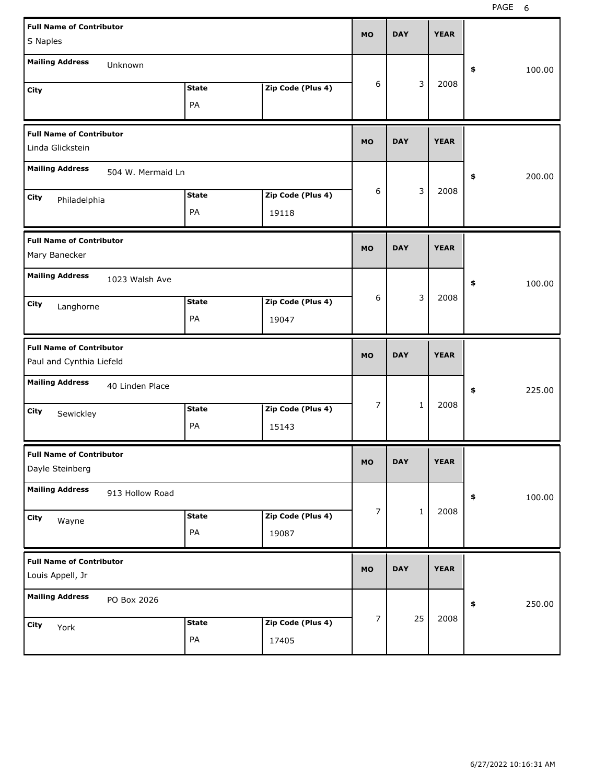| <b>Full Name of Contributor</b>                     |              |                   | <b>MO</b>        | <b>DAY</b>   | <b>YEAR</b> |              |
|-----------------------------------------------------|--------------|-------------------|------------------|--------------|-------------|--------------|
| S Naples                                            |              |                   |                  |              |             |              |
| <b>Mailing Address</b><br>Unknown                   |              |                   |                  |              |             | 100.00<br>\$ |
| City                                                | <b>State</b> | Zip Code (Plus 4) | 6                | 3            | 2008        |              |
|                                                     | PA           |                   |                  |              |             |              |
| <b>Full Name of Contributor</b>                     |              |                   | <b>MO</b>        | <b>DAY</b>   | <b>YEAR</b> |              |
| Linda Glickstein                                    |              |                   |                  |              |             |              |
| <b>Mailing Address</b><br>504 W. Mermaid Ln         |              |                   |                  |              |             | \$<br>200.00 |
| City<br>Philadelphia                                | <b>State</b> | Zip Code (Plus 4) | 6                | 3            | 2008        |              |
|                                                     | PA           | 19118             |                  |              |             |              |
| <b>Full Name of Contributor</b>                     |              |                   | <b>MO</b>        | <b>DAY</b>   | <b>YEAR</b> |              |
| Mary Banecker                                       |              |                   |                  |              |             |              |
| <b>Mailing Address</b><br>1023 Walsh Ave            |              |                   |                  |              |             | \$<br>100.00 |
| City<br>Langhorne                                   | <b>State</b> | Zip Code (Plus 4) | 6                | 3            | 2008        |              |
|                                                     | PA           | 19047             |                  |              |             |              |
| <b>Full Name of Contributor</b>                     |              |                   |                  |              |             |              |
| Paul and Cynthia Liefeld                            |              |                   | <b>MO</b>        | <b>DAY</b>   | <b>YEAR</b> |              |
| <b>Mailing Address</b><br>40 Linden Place           |              |                   |                  |              |             | \$<br>225.00 |
| City                                                | <b>State</b> | Zip Code (Plus 4) | $\overline{7}$   | $\mathbf{1}$ | 2008        |              |
| Sewickley                                           | PA           | 15143             |                  |              |             |              |
| <b>Full Name of Contributor</b>                     |              |                   | <b>MO</b>        | <b>DAY</b>   | YEAK        |              |
| Dayle Steinberg                                     |              |                   |                  |              |             |              |
| <b>Mailing Address</b><br>913 Hollow Road           |              |                   |                  |              |             | 100.00<br>\$ |
| City<br>Wayne                                       | <b>State</b> | Zip Code (Plus 4) | $\boldsymbol{7}$ | $\mathbf 1$  | 2008        |              |
|                                                     | PA           | 19087             |                  |              |             |              |
| <b>Full Name of Contributor</b><br>Louis Appell, Jr |              |                   | <b>MO</b>        | <b>DAY</b>   | <b>YEAR</b> |              |
| <b>Mailing Address</b><br>PO Box 2026               |              |                   |                  |              |             | 250.00<br>\$ |
| City<br>York                                        | <b>State</b> | Zip Code (Plus 4) | $\boldsymbol{7}$ | 25           | 2008        |              |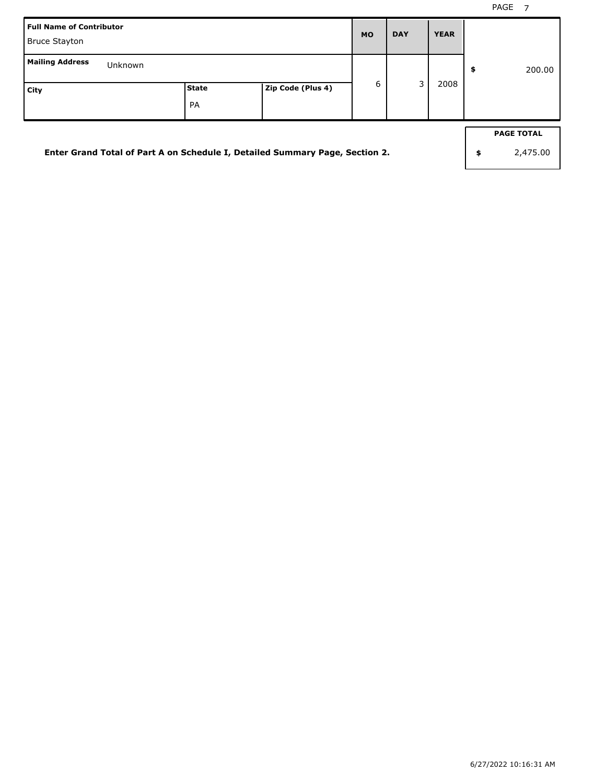| Enter Grand Total of Part A on Schedule I, Detailed Summary Page, Section 2. |                    |                   |   |   |             | \$<br><b>PAGE TOTAL</b><br>2,475.00 |
|------------------------------------------------------------------------------|--------------------|-------------------|---|---|-------------|-------------------------------------|
| <b>Mailing Address</b><br>Unknown<br>City                                    | State<br><b>PA</b> | Zip Code (Plus 4) | 6 | 3 | 2008        | \$<br>200.00                        |
| <b>Full Name of Contributor</b><br><b>Bruce Stayton</b>                      |                    |                   |   |   | <b>YEAR</b> |                                     |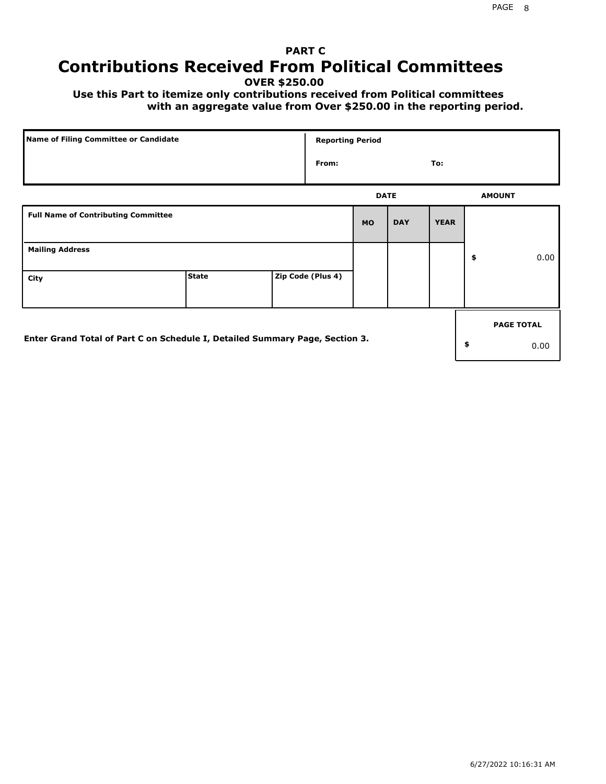## **PART C Contributions Received From Political Committees**

**OVER \$250.00**

 **Use this Part to itemize only contributions received from Political committees with an aggregate value from Over \$250.00 in the reporting period.**

| Name of Filing Committee or Candidate                                        |              | <b>Reporting Period</b> |           |             |             |                   |
|------------------------------------------------------------------------------|--------------|-------------------------|-----------|-------------|-------------|-------------------|
|                                                                              |              | From:                   |           |             | To:         |                   |
|                                                                              |              |                         |           | <b>DATE</b> |             | <b>AMOUNT</b>     |
| <b>Full Name of Contributing Committee</b>                                   |              |                         | <b>MO</b> | <b>DAY</b>  | <b>YEAR</b> |                   |
| <b>Mailing Address</b>                                                       |              |                         |           |             |             | \$<br>0.00        |
| City                                                                         | <b>State</b> | Zip Code (Plus 4)       |           |             |             |                   |
|                                                                              |              |                         |           |             |             | <b>PAGE TOTAL</b> |
| Enter Grand Total of Part C on Schedule I, Detailed Summary Page, Section 3. |              |                         |           |             |             | \$<br>0.00        |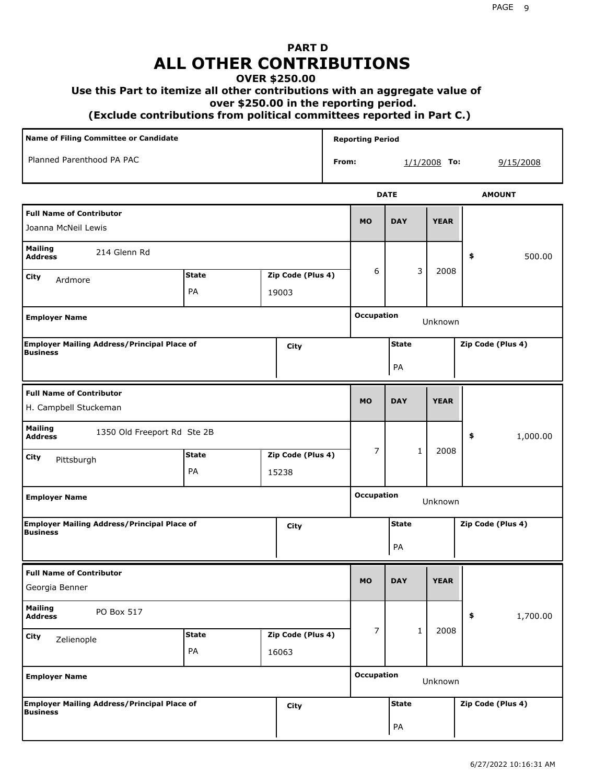# **PART D ALL OTHER CONTRIBUTIONS**

#### **OVER \$250.00**

#### **Use this Part to itemize all other contributions with an aggregate value of**

 **over \$250.00 in the reporting period.**

 **(Exclude contributions from political committees reported in Part C.)** 

| <b>Name of Filing Committee or Candidate</b>                          |                    |                            |                   |       | <b>Reporting Period</b>      |                    |                |                   |
|-----------------------------------------------------------------------|--------------------|----------------------------|-------------------|-------|------------------------------|--------------------|----------------|-------------------|
| Planned Parenthood PA PAC                                             |                    |                            |                   | From: |                              |                    | $1/1/2008$ To: | 9/15/2008         |
|                                                                       |                    |                            |                   |       |                              | <b>DATE</b>        |                | <b>AMOUNT</b>     |
| <b>Full Name of Contributor</b><br>Joanna McNeil Lewis                |                    |                            |                   |       | <b>MO</b>                    | <b>DAY</b>         | <b>YEAR</b>    |                   |
| <b>Mailing</b><br>214 Glenn Rd<br><b>Address</b>                      |                    |                            |                   |       |                              |                    |                | 500.00<br>\$      |
| City<br>Ardmore                                                       | <b>State</b><br>PA | Zip Code (Plus 4)<br>19003 |                   | 6     | 3                            | 2008               |                |                   |
| <b>Employer Name</b>                                                  |                    |                            |                   |       | <b>Occupation</b>            |                    | Unknown        |                   |
| <b>Employer Mailing Address/Principal Place of</b><br><b>Business</b> |                    |                            | City              |       |                              | <b>State</b><br>PA |                | Zip Code (Plus 4) |
| <b>Full Name of Contributor</b><br>H. Campbell Stuckeman              |                    |                            |                   |       | <b>MO</b>                    | <b>DAY</b>         | <b>YEAR</b>    |                   |
| <b>Mailing</b><br>1350 Old Freeport Rd Ste 2B<br><b>Address</b>       |                    |                            |                   |       |                              |                    |                | \$<br>1,000.00    |
| City<br>Pittsburgh                                                    | <b>State</b><br>PA | 15238                      | Zip Code (Plus 4) |       | $\overline{7}$               | $\mathbf 1$        | 2008           |                   |
| <b>Employer Name</b>                                                  |                    |                            |                   |       | <b>Occupation</b>            | Unknown            |                |                   |
| <b>Employer Mailing Address/Principal Place of</b><br><b>Business</b> |                    |                            | City              |       |                              | <b>State</b><br>PA |                | Zip Code (Plus 4) |
| <b>Full Name of Contributor</b><br>Georgia Benner                     |                    |                            |                   |       | <b>MO</b>                    | <b>DAY</b>         | <b>YEAR</b>    |                   |
| <b>Mailing</b><br>PO Box 517<br><b>Address</b>                        |                    |                            |                   |       |                              |                    |                | 1,700.00<br>\$    |
| City<br>Zelienople                                                    | <b>State</b><br>PA | 16063                      | Zip Code (Plus 4) |       | $\overline{7}$               | $\mathbf{1}$       | 2008           |                   |
| <b>Employer Name</b>                                                  |                    |                            |                   |       | <b>Occupation</b><br>Unknown |                    |                |                   |
| <b>Employer Mailing Address/Principal Place of</b><br><b>Business</b> |                    |                            | City              |       |                              | <b>State</b><br>PA |                | Zip Code (Plus 4) |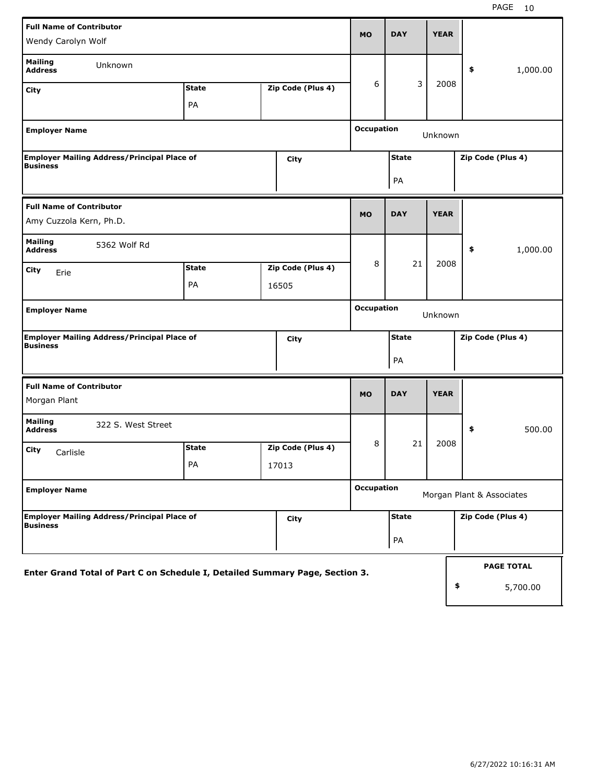| <b>Full Name of Contributor</b>                                       |                                                                              |  |                   |                   |              |             |                           |
|-----------------------------------------------------------------------|------------------------------------------------------------------------------|--|-------------------|-------------------|--------------|-------------|---------------------------|
| Wendy Carolyn Wolf                                                    |                                                                              |  |                   | <b>MO</b>         | <b>DAY</b>   | <b>YEAR</b> |                           |
| <b>Mailing</b><br>Unknown<br><b>Address</b>                           |                                                                              |  |                   |                   |              |             | 1,000.00<br>\$            |
| City                                                                  | <b>State</b>                                                                 |  | Zip Code (Plus 4) | 6                 | 3            | 2008        |                           |
|                                                                       | PA                                                                           |  |                   |                   |              |             |                           |
| <b>Employer Name</b>                                                  |                                                                              |  |                   | <b>Occupation</b> |              | Unknown     |                           |
| <b>Employer Mailing Address/Principal Place of</b><br><b>Business</b> |                                                                              |  | City              |                   | <b>State</b> |             | Zip Code (Plus 4)         |
|                                                                       |                                                                              |  |                   | PA                |              |             |                           |
| <b>Full Name of Contributor</b>                                       |                                                                              |  |                   |                   |              | <b>YEAR</b> |                           |
| Amy Cuzzola Kern, Ph.D.                                               |                                                                              |  |                   | <b>MO</b>         | <b>DAY</b>   |             |                           |
| <b>Mailing</b><br>5362 Wolf Rd<br><b>Address</b>                      |                                                                              |  |                   |                   |              |             | 1,000.00<br>\$            |
| City<br>Erie                                                          | <b>State</b>                                                                 |  | Zip Code (Plus 4) | 8                 | 21           | 2008        |                           |
|                                                                       | PA                                                                           |  | 16505             |                   |              |             |                           |
| <b>Employer Name</b>                                                  |                                                                              |  |                   | <b>Occupation</b> |              | Unknown     |                           |
| <b>Employer Mailing Address/Principal Place of</b><br><b>Business</b> |                                                                              |  | City              |                   | <b>State</b> |             | Zip Code (Plus 4)         |
|                                                                       |                                                                              |  |                   |                   | PA           |             |                           |
| <b>Full Name of Contributor</b>                                       |                                                                              |  |                   |                   |              | <b>YEAR</b> |                           |
| Morgan Plant                                                          |                                                                              |  |                   | <b>MO</b>         | <b>DAY</b>   |             |                           |
| <b>Mailing</b><br>322 S. West Street<br><b>Address</b>                |                                                                              |  |                   |                   |              |             | \$<br>500.00              |
| City<br>Carlisle                                                      | <b>State</b>                                                                 |  | Zip Code (Plus 4) | 8                 | 21           | 2008        |                           |
|                                                                       | PA                                                                           |  | 17013             |                   |              |             |                           |
| <b>Employer Name</b>                                                  |                                                                              |  |                   | <b>Occupation</b> |              |             | Morgan Plant & Associates |
| <b>Employer Mailing Address/Principal Place of</b><br><b>Business</b> |                                                                              |  | City              |                   | <b>State</b> |             | Zip Code (Plus 4)         |
|                                                                       |                                                                              |  |                   |                   | PA           |             |                           |
|                                                                       |                                                                              |  |                   |                   |              |             | <b>PAGE TOTAL</b>         |
|                                                                       | Enter Grand Total of Part C on Schedule I, Detailed Summary Page, Section 3. |  |                   |                   |              | \$          | 5,700.00                  |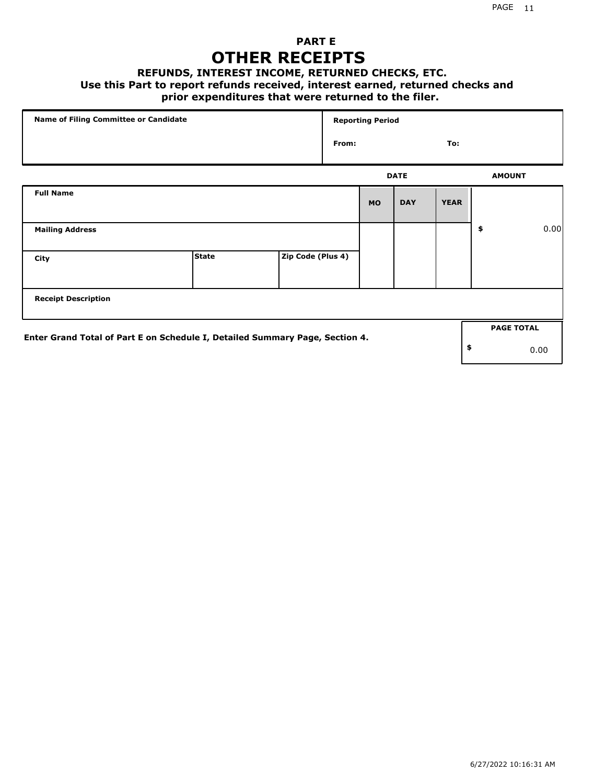### **PART E OTHER RECEIPTS**

#### **REFUNDS, INTEREST INCOME, RETURNED CHECKS, ETC.**

#### **Use this Part to report refunds received, interest earned, returned checks and**

### **prior expenditures that were returned to the filer.**

| Name of Filing Committee or Candidate                                        |              |                   |       | <b>Reporting Period</b> |             |             |                   |      |
|------------------------------------------------------------------------------|--------------|-------------------|-------|-------------------------|-------------|-------------|-------------------|------|
|                                                                              |              |                   | From: |                         |             | To:         |                   |      |
|                                                                              |              |                   |       |                         | <b>DATE</b> |             | <b>AMOUNT</b>     |      |
| <b>Full Name</b>                                                             |              |                   |       | <b>MO</b>               | <b>DAY</b>  | <b>YEAR</b> |                   |      |
| <b>Mailing Address</b>                                                       |              |                   |       |                         |             |             | \$                | 0.00 |
| City                                                                         | <b>State</b> | Zip Code (Plus 4) |       |                         |             |             |                   |      |
| <b>Receipt Description</b>                                                   |              |                   |       |                         |             |             |                   |      |
| Enter Grand Total of Part E on Schedule I, Detailed Summary Page, Section 4. |              |                   |       |                         |             |             | <b>PAGE TOTAL</b> |      |
|                                                                              |              |                   |       |                         |             |             | \$<br>0.00        |      |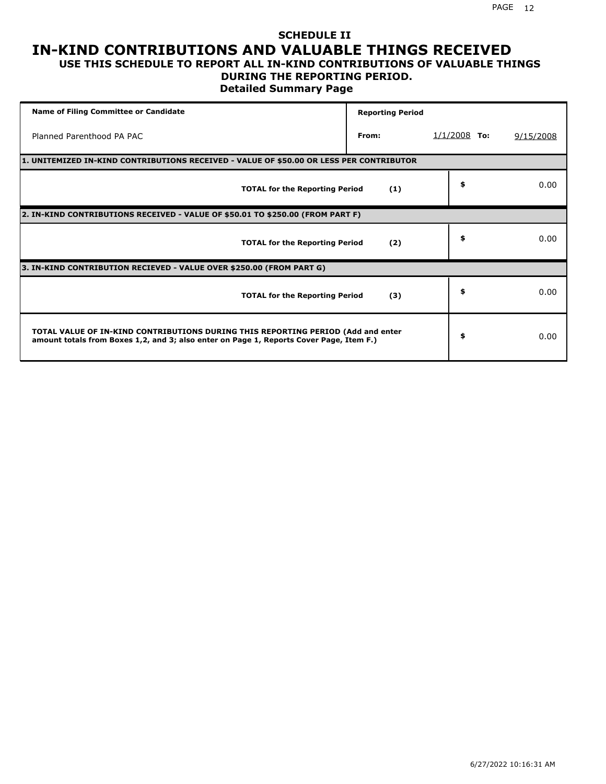## **SCHEDULE II IN-KIND CONTRIBUTIONS AND VALUABLE THINGS RECEIVED**

#### **USE THIS SCHEDULE TO REPORT ALL IN-KIND CONTRIBUTIONS OF VALUABLE THINGS DURING THE REPORTING PERIOD.**

**Detailed Summary Page**

| <b>Name of Filing Committee or Candidate</b>                                                                                                                                | <b>Reporting Period</b> |                |           |  |  |  |  |  |
|-----------------------------------------------------------------------------------------------------------------------------------------------------------------------------|-------------------------|----------------|-----------|--|--|--|--|--|
| Planned Parenthood PA PAC                                                                                                                                                   | From:                   | $1/1/2008$ To: | 9/15/2008 |  |  |  |  |  |
| 1. UNITEMIZED IN-KIND CONTRIBUTIONS RECEIVED - VALUE OF \$50.00 OR LESS PER CONTRIBUTOR                                                                                     |                         |                |           |  |  |  |  |  |
| <b>TOTAL for the Reporting Period</b>                                                                                                                                       | (1)                     | \$             | 0.00      |  |  |  |  |  |
| 2. IN-KIND CONTRIBUTIONS RECEIVED - VALUE OF \$50.01 TO \$250.00 (FROM PART F)                                                                                              |                         |                |           |  |  |  |  |  |
| <b>TOTAL for the Reporting Period</b>                                                                                                                                       | (2)                     | \$             | 0.00      |  |  |  |  |  |
| 3. IN-KIND CONTRIBUTION RECIEVED - VALUE OVER \$250.00 (FROM PART G)                                                                                                        |                         |                |           |  |  |  |  |  |
| <b>TOTAL for the Reporting Period</b>                                                                                                                                       | (3)                     | \$             | 0.00      |  |  |  |  |  |
| TOTAL VALUE OF IN-KIND CONTRIBUTIONS DURING THIS REPORTING PERIOD (Add and enter<br>amount totals from Boxes 1,2, and 3; also enter on Page 1, Reports Cover Page, Item F.) |                         | \$             | 0.00      |  |  |  |  |  |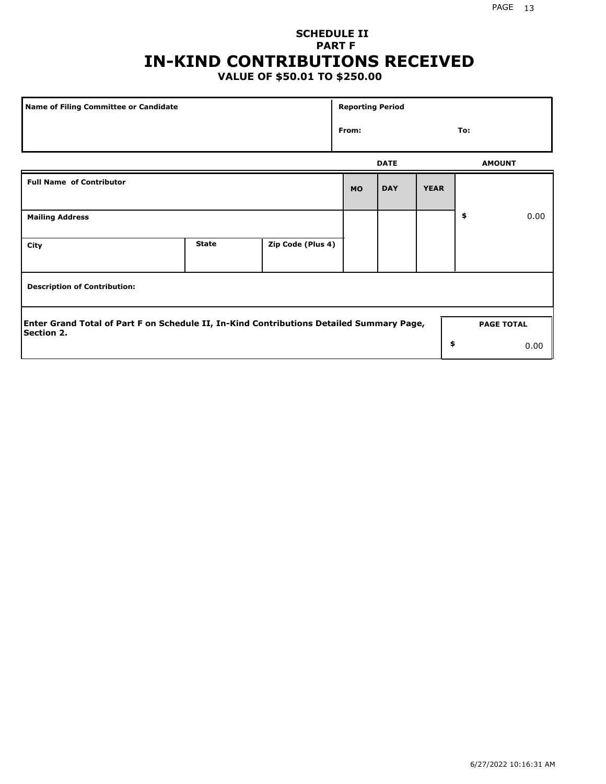## **SCHEDULE II PART F IN-KIND CONTRIBUTIONS RECEIVED**

### **VALUE OF \$50.01 TO \$250.00**

| <b>Name of Filing Committee or Candidate</b>                                                                  |              |                   | <b>Reporting Period</b> |             |             |                   |      |
|---------------------------------------------------------------------------------------------------------------|--------------|-------------------|-------------------------|-------------|-------------|-------------------|------|
|                                                                                                               |              |                   | From:                   |             |             | To:               |      |
|                                                                                                               |              |                   |                         | <b>DATE</b> |             | <b>AMOUNT</b>     |      |
| <b>Full Name of Contributor</b>                                                                               |              |                   | <b>MO</b>               | <b>DAY</b>  | <b>YEAR</b> |                   |      |
| <b>Mailing Address</b>                                                                                        |              |                   |                         |             |             | \$                | 0.00 |
| City                                                                                                          | <b>State</b> | Zip Code (Plus 4) |                         |             |             |                   |      |
| <b>Description of Contribution:</b>                                                                           |              |                   |                         |             |             |                   |      |
| Enter Grand Total of Part F on Schedule II, In-Kind Contributions Detailed Summary Page,<br><b>Section 2.</b> |              |                   |                         |             |             | <b>PAGE TOTAL</b> |      |
|                                                                                                               |              |                   |                         |             | \$          |                   | 0.00 |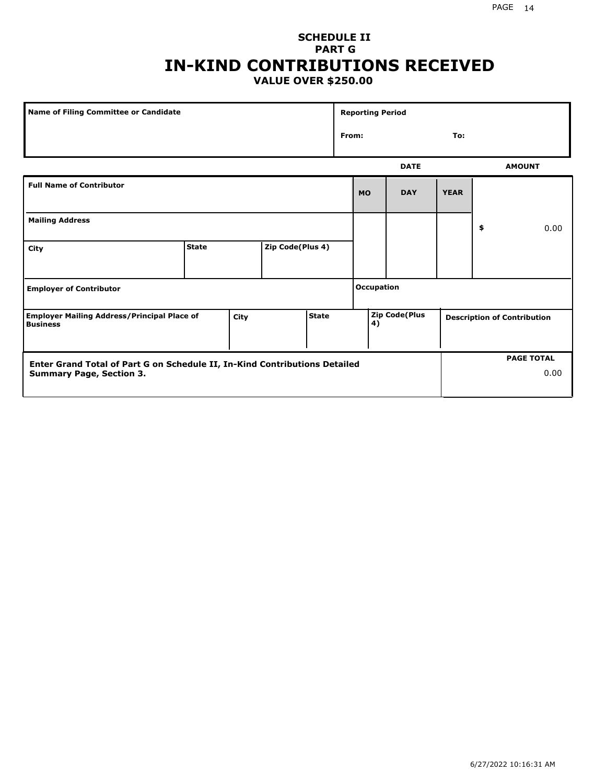### **SCHEDULE II PART G IN-KIND CONTRIBUTIONS RECEIVED VALUE OVER \$250.00**

| Name of Filing Committee or Candidate                                         |              |    |                  | <b>Reporting Period</b> |                            |                   |             |                                    |  |               |
|-------------------------------------------------------------------------------|--------------|----|------------------|-------------------------|----------------------------|-------------------|-------------|------------------------------------|--|---------------|
|                                                                               |              |    |                  |                         | From:                      |                   |             | To:                                |  |               |
|                                                                               |              |    |                  |                         |                            |                   | <b>DATE</b> |                                    |  | <b>AMOUNT</b> |
| <b>Full Name of Contributor</b>                                               |              |    |                  |                         |                            | <b>MO</b>         | <b>DAY</b>  | <b>YEAR</b>                        |  |               |
| <b>Mailing Address</b>                                                        |              | \$ |                  |                         |                            |                   |             | 0.00                               |  |               |
| City                                                                          | <b>State</b> |    | Zip Code(Plus 4) |                         |                            |                   |             |                                    |  |               |
| <b>Employer of Contributor</b>                                                |              |    |                  |                         |                            | <b>Occupation</b> |             |                                    |  |               |
| <b>Employer Mailing Address/Principal Place of</b><br>City<br><b>Business</b> |              |    | <b>State</b>     |                         | <b>Zip Code(Plus</b><br>4) |                   |             | <b>Description of Contribution</b> |  |               |

| <b>Enter Grand Total of Part G on Schedule II, In-Kind Contributions Detailed</b> |  | <b>PAGE TOTAL</b> |
|-----------------------------------------------------------------------------------|--|-------------------|
| <b>Summary Page, Section 3.</b>                                                   |  | 0.00              |
|                                                                                   |  |                   |